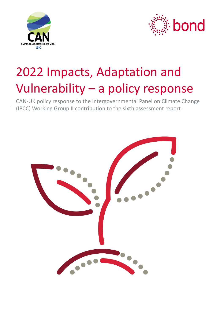



# 2022 Impacts, Adaptation and Vulnerability – a policy response

CAN-UK policy response to the Intergovernmental Panel on Climate Change (IPCC) Working Group II contribution to the sixth assessment reporti

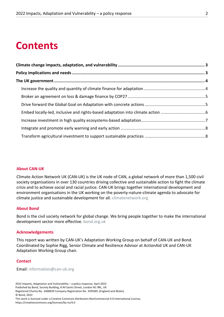## **Contents**

#### **About CAN-UK**

Climate Action Network UK (CAN-UK) is the UK node of CAN, a global network of more than 1,500 civil society organisations in over 130 countries driving collective and sustainable action to fight the climate crisis and to achieve social and racial justice. CAN-UK brings together international development and environment organisations in the UK working on the poverty-nature-climate agenda to advocate for climate justice and sustainable development for all. climatenetwork.org

#### **About Bond**

Bond is the civil society network for global change. We bring people together to make the international development sector more effective. bond.org.uk

#### **Acknowledgements**

This report was written by CAN-UK's Adaptation Working Group on behalf of CAN-UK and Bond. Coordinated by Sophie Rigg, Senior Climate and Resilience Advisor at ActionAid UK and CAN-UK Adaptation Working Group chair.

#### **Contact**

Email: information@can-uk.org

2022 Impacts, Adaptation and Vulnerability – a policy response, April 2022

Published by Bond, Society Building, 8 All Saints Street, London N1 9RL, UK

Registered Charity No. 1068839 Company Registration No. 3395681 (England and Wales) © Bond, 2022

This work is licensed under a Creative Commons Attribution-NonCommercial 4.0 International License, https://creativecommons.org/licenses/by-nc/4.0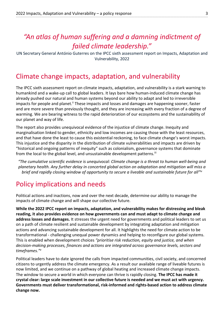## *"An atlas of human suffering and a damning indictment of failed climate leadership."*

UN Secretary General António Guterres on the IPCC sixth assessment report on Impacts, Adaptation and Vulnerability, 2022

### Climate change impacts, adaptation, and vulnerability

The IPCC sixth assessment report on climate impacts, adaptation, and vulnerability is a stark warning to humankind and a wake-up call to global leaders. It lays bare how human-induced climate change has already pushed our natural and human systems beyond our ability to adapt and led to irreversible impacts for people and planet.<sup>ii</sup> These impacts and losses and damages are happening sooner, faster and are more severe than previously thought, and they are increasing with every fraction of a degree of warming. We are bearing witness to the rapid deterioration of our ecosystems and the sustainability of our planet and way of life.

The report also provides unequivocal evidence of the injustice of climate change. Inequity and marginalisation linked to gender, ethnicity and low incomes are causing those with the least resources, and that have done the least to cause this existential reckoning, to face climate change's worst impacts. This injustice and the disparity in the distribution of climate vulnerabilities and impacts are driven by "historical and ongoing patterns of inequity" such as colonialism, governance systems that dominate from the local to the global level, and unsustainable development patterns.<sup>iii</sup>

*"The cumulative scientific evidence is unequivocal: Climate change is a threat to human well-being and planetary health. Any further delay in concerted global action on adaptation and mitigation will miss a brief and rapidly closing window of opportunity to secure a liveable and sustainable future for all"*iv

## Policy implications and needs

Political actions and inactions, now and over the next decade, determine our ability to manage the impacts of climate change and will shape our collective future.

**While the 2022 IPCC report on impacts, adaptation, and vulnerability makes for distressing and bleak reading, it also provides evidence on how governments can and must adapt to climate change and address losses and damages.** It stresses the urgent need for governments and political leaders to set us on a path of climate resilient and sustainable development by integrating adaptation and mitigation actions and advancing sustainable development for all. It highlights the need for climate action to be transformational - challenging unequal power dynamics and helping to reconfigure our global systems. This is enabled when development choices *"prioritise risk reduction, equity and justice, and when decision-making processes, finances and actions are integrated across governance levels, sectors and timeframes."v*

Political leaders have to date ignored the calls from impacted communities, civil society, and concerned citizens to urgently address the climate emergency. As a result our available range of liveable futures is now limited, and we continue on a pathway of global heating and increased climate change impacts. The window to secure a world in which everyone can thrive is rapidly closing. **The IPCC has made it crystal clear: large scale investment in our collective future is needed and we must act with urgency. Governments must deliver transformational, risk-informed and rights-based action to address climate change now.**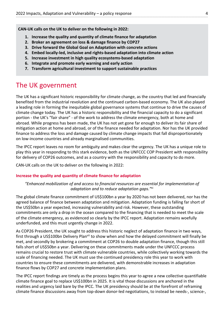**CAN-UK calls on the UK to deliver on the following in 2022:** 

- **1. Increase the quality and quantity of climate finance for adaptation**
- **2. Broker an agreement on loss & damage finance by COP27**
- **3. Drive forward the Global Goal on Adaptation with concrete actions**
- **4. Embed locally-led, inclusive and rights-based adaptation into climate action**
- **5. Increase investment in high quality ecosystems-based adaptation**
- **6. Integrate and promote early warning and early action**
- **7. Transform agricultural investment to support sustainable practices**

## The UK government

The UK has a significant historic responsibility for climate change, as the country that led and financially benefited from the industrial revolution and the continued carbon-based economy. The UK also played a leading role in forming the inequitable global governance systems that continue to drive the causes of climate change today. The UK has a historic responsibility and the financial capacity to do a significant portion - the UK's "fair share" - of the work to address the climate emergency, both at home and abroad. While progress has been made, the UK has not yet gone far enough to deliver its fair share of mitigation action at home and abroad, or of the finance needed for adaptation. Nor has the UK provided finance to address the loss and damage caused by climate change impacts that fall disproportionately on low-income countries and already marginalised communities.

The IPCC report leaves no room for ambiguity and makes clear the urgency. The UK has a unique role to play this year in responding to this stark evidence, both as the UNFCCC COP President with responsibility for delivery of COP26 outcomes, and as a country with the responsibility and capacity to do more.

CAN-UK calls on the UK to deliver on the following in 2022:

#### **Increase the quality and quantity of climate finance for adaptation**

#### *"Enhanced mobilization of and access to financial resources are essential for implementation of adaptation and to reduce adaptation gaps."*vi

The global climate finance commitment of US\$100bn a year by 2020 has not been delivered, nor has the agreed balance of finance between adaptation and mitigation. Adaptation funding is falling far short of the US\$50bn a year expected, increasing vulnerability and risk. However, these outstanding commitments are only a drop in the ocean compared to the financing that is needed to meet the scale of the climate emergency, as evidenced so clearly by the IPCC report. Adaptation remains woefully underfunded, and this must urgently change in 2022.

As COP26 President, the UK sought to address this historic neglect of adaptation finance in two ways, first through a US\$100bn Delivery Plan<sup>vii</sup> to show when and how the delayed commitment will finally be met, and secondly by brokering a commitment at COP26 to double adaptation finance, though this still falls short of US\$50bn a year. Delivering on these commitments made under the UNFCCC process remains crucial to restore trust with climate vulnerable countries, while collectively working towards the scale of financing needed. The UK must use the continued presidency role this year to work with countries to ensure these commitments are delivered, with demonstrable increases in adaptation finance flows by COP27 and concrete implementation plans.

The IPCC report findings are timely as the process begins this year to agree a new collective quantifiable climate finance goal to replace US\$100bn in 2025. It is vital those discussions are anchored in the realities and urgency laid bare by the IPCC. The UK presidency should be at the forefront of reframing climate finance discussions away from top-down donor-led negotiations, to instead be needs-, science-,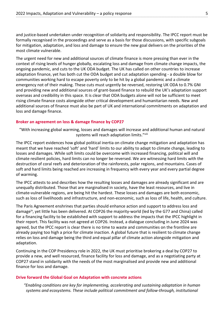and justice-based undertaken under recognition of solidarity and responsibility. The IPCC report must be formally recognised in the proceedings and serve as a basis for those discussions, with specific subgoals for mitigation, adaptation, and loss and damage to ensure the new goal delivers on the priorities of the most climate vulnerable.

The urgent need for new and additional sources of climate finance is more pressing than ever in the context of rising levels of hunger globally, escalating loss and damage from climate change impacts, the ongoing pandemic, and cuts to the UK ODA budget. The UK has called on other countries to increase adaptation finance, yet has both cut the ODA budget and cut adaptation spending - a double blow for communities working hard to escape poverty only to be hit by a global pandemic and a climate emergency not of their making. These cuts must urgently be reversed, restoring UK ODA to 0.7% GNI and providing new and additional sources of grant-based finance to rebuild the UK's adaptation support overseas and credibility in this space. It is clear that ODA budgets alone will not be sufficient to meet rising climate finance costs alongside other critical development and humanitarian needs. New and additional sources of finance must also be part of UK and international commitments on adaptation and loss and damage finance.

#### **Broker an agreement on loss & damage finance by COP27**

"With increasing global warming, losses and damages will increase and additional human and natural systems will reach adaptation limits."viii

The IPCC report evidences how global political inertia on climate change mitigation and adaptation has meant that we have reached 'soft' and 'hard' limits to our ability to adapt to climate change, leading to losses and damages. While soft limits could be overcome with increased financing, political will and climate resilient policies, hard limits can no longer be reversed. We are witnessing hard limits with the destruction of coral reefs and deterioration of the rainforests, polar regions, and mountains. Cases of soft and hard limits being reached are increasing in frequency with every year and every partial degree of warming.

The IPCC attests to and describes how the resulting losses and damages are already significant and are unequally distributed. Those that are marginalised in society, have the least resources, and live in climate-vulnerable regions, are being hit the hardest. These losses and damages are both economic, such as loss of livelihoods and infrastructure, and non-economic, such as loss of life, health, and culture.

The Paris Agreement enshrines that parties should enhance action and support to address loss and damage<sup>ix</sup>, yet little has been delivered. At COP26 the majority-world (led by the G77 and China) called for a financing facility to be established with support to address the impacts that the IPCC highlight in their report. This facility was not agreed at COP26. Instead, a dialogue concluding in June 2024 was agreed, but the IPCC report is clear there is no time to waste and communities on the frontline are already paying too high a price for climate inaction. A global future that is resilient to climate change relies on loss and damage being the third and equal pillar of climate action alongside mitigation and adaptation.

Continuing in the COP Presidency role in 2022, the UK must prioritise brokering a deal by COP27 to provide a new, and well resourced, finance facility for loss and damage, and as a negotiating party at COP27 stand in solidarity with the needs of the most marginalised and provide new and additional finance for loss and damage.

#### **Drive forward the Global Goal on Adaptation with concrete actions**

*"Enabling conditions are key for implementing, accelerating and sustaining adaptation in human systems and ecosystems. These include political commitment and follow-through, institutional*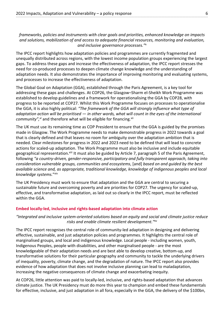#### *frameworks, policies and instruments with clear goals and priorities, enhanced knowledge on impacts and solutions, mobilization of and access to adequate financial resources, monitoring and evaluation, and inclusive governance processes."*<sup>x</sup>

The IPCC report highlights how adaptation policies and programmes are currently fragmented and unequally distributed across regions, with the lowest income population groups experiencing the largest gaps. To address these gaps and increase the effectiveness of adaptation, the IPCC report stresses the need for co-produced processes to deepen climate change knowledge and the understanding of adaptation needs. It also demonstrates the importance of improving monitoring and evaluating systems, and processes to increase the effectiveness of adaptation.

The Global Goal on Adaptation (GGA), established through the Paris Agreement, is a key tool for addressing these gaps and challenges. At COP26, the Glasgow–Sharm el-Sheikh Work Programme was established to develop guidelines and a framework for operationalising the GGA by COP28, with progress to be reported at COP27. Whilst this Work Programme focuses on processes to operationalise the GGA, it is also highly political: *"The framework of the GGA will strongly influence what type of adaptation action will be prioritised — in other words, what will count in the eyes of the international community"*,<sup>xi</sup> and therefore what will be eligible for financing.<sup>xii</sup>

The UK must use its remaining time as COP President to ensure that the GGA is guided by the promises made in Glasgow. The Work Programme needs to make demonstrable progress in 2022 towards a goal that is clearly defined and that leaves no room for ambiguity over the adaptation ambition that is needed. Clear milestones for progress in 2022 and 2023 need to be defined that will lead to concrete actions for scaled-up adaptation. The Work Programme must also be inclusive and include equitable geographical representation. Xiii It must also be guided by Article 7, paragraph 5 of the Paris Agreement, following *"a country-driven, gender-responsive, participatory and fully transparent approach, taking into consideration vulnerable groups, communities and ecosystems*, [and] *based on and guided by the best available science and, as appropriate, traditional knowledge, knowledge of indigenous peoples and local knowledge systems.*"xiv

The UK Presidency must work to ensure that adaptation and the GGA are central to securing a sustainable future and overcoming poverty and are priorities for COP27. The urgency for scaled-up, effective, and transformative adaptation, as laid out so clearly in the IPCC report, must be reflected within the GGA.

#### **Embed locally-led, inclusive and rights-based adaptation into climate action**

#### *"Integrated and inclusive system-oriented solutions based on equity and social and climate justice reduce risks and enable climate resilient development."*xv

The IPCC report recognises the central role of community-led adaptation in designing and delivering effective, sustainable, and just adaptation policies and programmes. It highlights the central role of marginalised groups, and local and indigenous knowledge. Local people - including women, youth, Indigenous Peoples, people with disabilities, and other marginalised people - are the most knowledgeable of their adaptation needs and are best able to develop creative, bottom-up, and transformative solutions for their particular geography and community to tackle the underlying drivers of inequality, poverty, climate change, and the degradation of nature. The IPCC report also provides evidence of how adaptation that does not involve inclusive planning can lead to maladaptation, increasing the negative consequences of climate change and exacerbating inequity.

At COP26, little attention was paid to locally-led, inclusive, and rights-based adaptation that advances climate justice. The UK Presidency must do more this year to champion and embed these fundamentals for effective, inclusive, and just adaptation in all fora, especially in the GGA, the delivery of the \$100bn,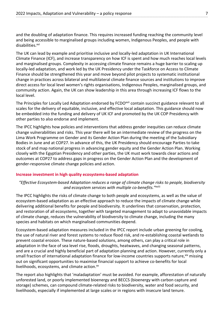and the doubling of adaptation finance. This requires increased funding reaching the community level and being accessible to marginalised groups including women, Indigenous Peoples, and people with disabilities.<sup>xvi</sup>

The UK can lead by example and prioritise inclusive and locally-led adaptation in UK International Climate Finance (ICF), and increase transparency on how ICF is spent and how much reaches local levels and marginalised groups. Complexity in accessing climate finance remains a huge barrier to scaling up locally-led adaptation, and work led by the UK Presidency under the Taskforce on Access to Climate Finance should be strengthened this year and move beyond pilot projects to systematic institutional change in practices across bilateral and multilateral climate finance sources and institutions to improve direct access for local level women's rights organisations, Indigenous Peoples, marginalised groups, and community action. Again, the UK can show leadership in this area through increasing ICF flows to the local level.

The Principles for Locally Led Adaptation endorsed by FCDO<sup>xvii</sup> contain succinct guidance relevant to all scales for the delivery of equitable, inclusive, and effective local adaptation. This guidance should now be embedded into the funding and delivery of UK ICF and promoted by the UK COP Presidency with other parties to also endorse and implement.

The IPCC highlights how policies and interventions that address gender inequities can reduce climate change vulnerabilities and risks. This year there will be an intermediate review of the progress on the Lima Work Programme on Gender and its Gender Action Plan during the meeting of the Subsidiary Bodies in June and at COP27. In advance of this, the UK Presidency should encourage Parties to take stock of and map national progress in advancing gender equity and the Gender Action Plan. Working closely with the Egyptian Presidency and other parties, the UK must work towards clear actions and outcomes at COP27 to address gaps in progress on the Gender Action Plan and the development of gender-responsive climate change policies and action.

#### **Increase investment in high quality ecosystems-based adaptation**

#### *"Effective Ecosystem-based Adaptation reduces a range of climate change risks to people, biodiversity and ecosystem services with multiple co-benefits."*xviii

The IPCC highlights the risks of climate change to both people and ecosystems, as well as the value of ecosystem-based adaptation as an effective approach to reduce the impacts of climate change while delivering additional benefits for people and biodiversity. It underlines that conservation, protection, and restoration of all ecosystems, together with targeted management to adapt to unavoidable impacts of climate change, reduces the vulnerability of biodiversity to climate change, including the many species and habitats on which marginalised communities depend.

Ecosystem-based adaptation measures included in the IPCC report include urban greening for cooling, the use of natural river and forest systems to reduce flood risk, and re-establishing coastal wetlands to prevent coastal erosion. These nature-based solutions, among others, can play a critical role in adaptation in the face of sea level rise, floods, droughts, heatwaves, and changing seasonal patterns, and are a crucial and highly beneficial part of adaptation planning and action. However, currently only a small fraction of international adaptation finance for low-income countries supports nature, xix missing out on significant opportunities to maximise financial support to achieve co-benefits for local livelihoods, ecosystems, and climate action.<sup>xx</sup>

The report also highlights that 'maladaptation' must be avoided. For example, afforestation of naturally unforested land, or poorly implemented bioenergy and BECCS (bioenergy with carbon capture and storage) schemes, can compound climate-related risks to biodiversity, water and food security, and livelihoods, especially if implemented at large scales or in regions with insecure land tenure.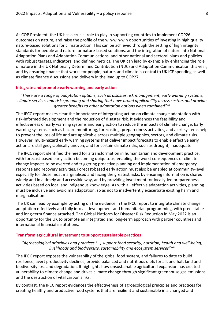As COP President, the UK has a crucial role to play in supporting countries to implement COP26 outcomes on nature, and raise the profile of the win-win-win opportunities of investing in high quality nature-based solutions for climate action. This can be achieved through the setting of high integrity standards for people and nature for nature-based solutions, and the integration of nature into National Adaptation Plans and Adaptation Communications, and other national and sectoral plans and policies with robust targets, indicators, and defined metrics. The UK can lead by example by enhancing the role of nature in the UK Nationally Determined Contribution (NDC) and Adaptation Communication this year, and by ensuring finance that works for people, nature, and climate is central to UK ICF spending as well as climate finance discussions and delivery in the lead up to COP27.

#### **Integrate and promote early warning and early action**

*"There are a range of adaptation options, such as disaster risk management, early warning systems, climate services and risk spreading and sharing that have broad applicability across sectors and provide greater benefits to other adaptation options when combined"*xxi

The IPCC report makes clear the importance of integrating action on climate change adaptation with risk-informed development and the reduction of disaster risk. It evidences the feasibility and effectiveness of early warning systems and early action to reduce the impacts of climate change. Early warning systems, such as hazard monitoring, forecasting, preparedness activities, and alert systems help to prevent the loss of life and are applicable across multiple geographies, sectors, and climate risks. However, multi-hazard early warning systems that deliver impact forecasts to enable effective early action are still geographically uneven, and for certain climate risks, such as drought, inadequate.

The IPCC report identified the need for a transformation in humanitarian and development practice, with forecast-based early action becoming ubiquitous, enabling the worst consequences of climate change impacts to be averted and triggering proactive planning and implementation of emergency response and recovery activities. Forecast-based early action must also be enabled at community-level especially for those most marginalised and facing the greatest risks, by ensuring information is shared widely and in a timely and accessible way, and by providing investment for locally-led preparedness activities based on local and indigenous knowledge. As with all effective adaptation activities, planning must be inclusive and avoid maladaptation, so as not to inadvertently exacerbate existing harm and marginalisation.

The UK can lead by example by acting on the evidence in the IPCC report to integrate climate change adaptation effectively and fully into all development and humanitarian programming, with predictable and long-term finance attached. The Global Platform for Disaster Risk Reduction in May 2022 is an opportunity for the UK to promote an integrated and long-term approach with partner countries and international financial institutions.

#### **Transform agricultural investment to support sustainable practices**

*"Agroecological principles and practices (…) support food security, nutrition, health and well-being, livelihoods and biodiversity, sustainability and ecosystem services"*xxii

The IPCC report exposes the vulnerability of the global food system, and failures to date to build resilience, avert productivity declines, provide balanced and nutritious diets for all, and halt land and biodiversity loss and degradation. It highlights how unsustainable agricultural expansion has created vulnerability to climate change and drives climate change through significant greenhouse gas emissions and the destruction of vital carbon sinks.

By contrast, the IPCC report evidences the effectiveness of agroecological principles and practices for creating healthy and productive food systems that are resilient and sustainable in a changed and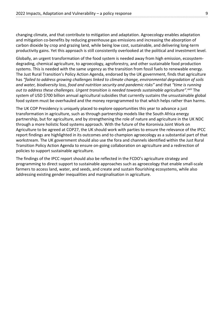changing climate, and that contribute to mitigation and adaptation. Agroecology enables adaptation and mitigation co-benefits by reducing greenhouse gas emissions and increasing the absorption of carbon dioxide by crop and grazing land, while being low cost, sustainable, and delivering long-term productivity gains. Yet this approach is still consistently overlooked at the political and investment level.

Globally, an urgent transformation of the food system is needed away from high emission, ecosystemdegrading, chemical agriculture, to agroecology, agroforestry, and other sustainable food production systems. This is needed with the same urgency as the transition from fossil fuels to renewable energy. The Just Rural Transition's Policy Action Agenda, endorsed by the UK government, finds that agriculture has *"failed to address growing challenges linked to climate change, environmental degradation of soils and water, biodiversity loss, food and nutrition security and pandemic risks"* and that *"time is running out to address these challenges. Urgent transition is needed towards sustainable agriculture".xxiii* The system of USD \$700 billion annual agricultural subsidies that currently sustains the unsustainable global food system must be overhauled and the money reprogrammed to that which helps rather than harms.

The UK COP Presidency is uniquely placed to explore opportunities this year to advance a just transformation in agriculture, such as through partnership models like the South Africa energy partnership, but for agriculture, and by strengthening the role of nature and agriculture in the UK NDC through a more holistic food systems approach. With the future of the Koronivia Joint Work on Agriculture to be agreed at COP27, the UK should work with parties to ensure the relevance of the IPCC report findings are highlighted in its outcomes and to champion agroecology as a substantial part of that workstream. The UK government should also use the fora and channels identified within the Just Rural Transition Policy Action Agenda to ensure on-going collaboration on agriculture and a redirection of policies to support sustainable agriculture.

The findings of the IPCC report should also be reflected in the FCDO's agriculture strategy and programming to direct support to sustainable approaches such as agroecology that enable small-scale farmers to access land, water, and seeds, and create and sustain flourishing ecosystems, while also addressing existing gender inequalities and marginalisation in agriculture.